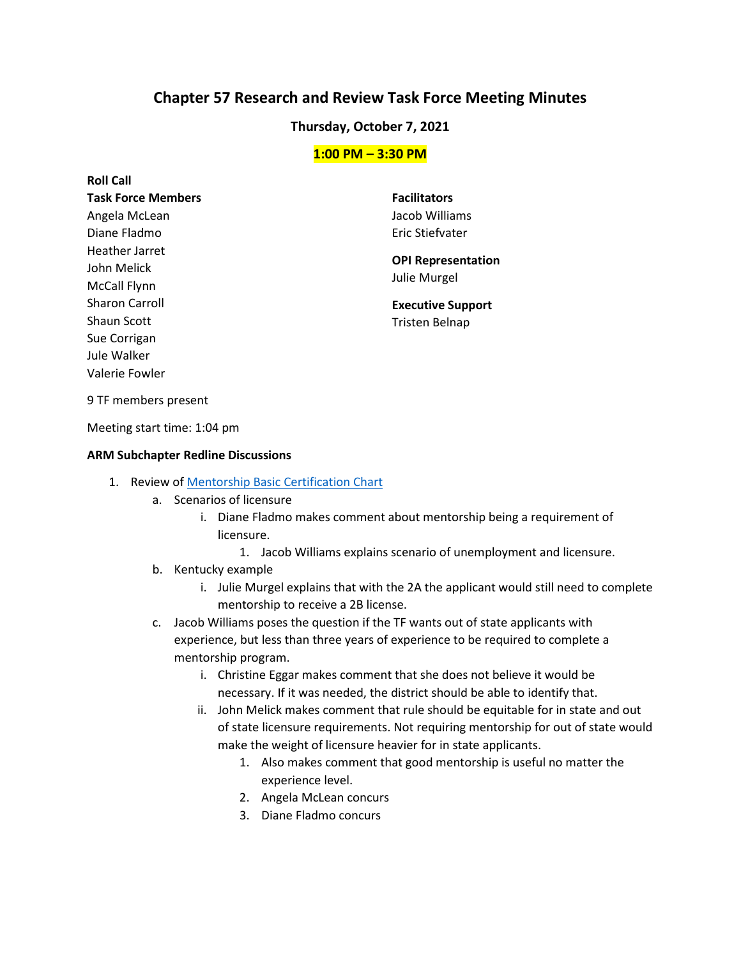# **Chapter 57 Research and Review Task Force Meeting Minutes**

### **Thursday, October 7, 2021**

#### **1:00 PM – 3:30 PM**

**Roll Call Task Force Members**  Angela McLean Diane Fladmo Heather Jarret John Melick McCall Flynn Sharon Carroll Shaun Scott Sue Corrigan Jule Walker Valerie Fowler

**Facilitators**  Jacob Williams Eric Stiefvater

**OPI Representation**  Julie Murgel

**Executive Support**  Tristen Belnap

9 TF members present

Meeting start time: 1:04 pm

#### **ARM Subchapter Redline Discussions**

- 1. Review o[f Mentorship Basic Certification Chart](https://docs.google.com/document/d/1gNi3_dBJJ8kGIQqdg3KJ--yipo9DWJVG/edit?usp=sharing&ouid=103980653118195900680&rtpof=true&sd=true)
	- a. Scenarios of licensure
		- i. Diane Fladmo makes comment about mentorship being a requirement of licensure.
			- 1. Jacob Williams explains scenario of unemployment and licensure.
	- b. Kentucky example
		- i. Julie Murgel explains that with the 2A the applicant would still need to complete mentorship to receive a 2B license.
	- c. Jacob Williams poses the question if the TF wants out of state applicants with experience, but less than three years of experience to be required to complete a mentorship program.
		- i. Christine Eggar makes comment that she does not believe it would be necessary. If it was needed, the district should be able to identify that.
		- ii. John Melick makes comment that rule should be equitable for in state and out of state licensure requirements. Not requiring mentorship for out of state would make the weight of licensure heavier for in state applicants.
			- 1. Also makes comment that good mentorship is useful no matter the experience level.
			- 2. Angela McLean concurs
			- 3. Diane Fladmo concurs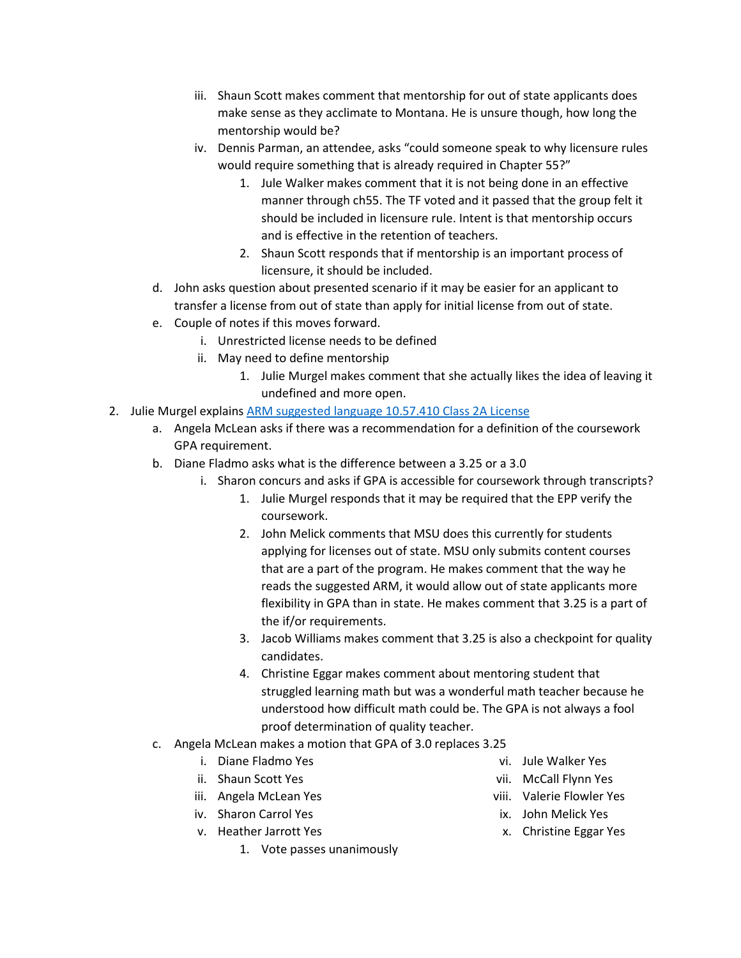- iii. Shaun Scott makes comment that mentorship for out of state applicants does make sense as they acclimate to Montana. He is unsure though, how long the mentorship would be?
- iv. Dennis Parman, an attendee, asks "could someone speak to why licensure rules would require something that is already required in Chapter 55?"
	- 1. Jule Walker makes comment that it is not being done in an effective manner through ch55. The TF voted and it passed that the group felt it should be included in licensure rule. Intent is that mentorship occurs and is effective in the retention of teachers.
	- 2. Shaun Scott responds that if mentorship is an important process of licensure, it should be included.
- d. John asks question about presented scenario if it may be easier for an applicant to transfer a license from out of state than apply for initial license from out of state.
- e. Couple of notes if this moves forward.
	- i. Unrestricted license needs to be defined
	- ii. May need to define mentorship
		- 1. Julie Murgel makes comment that she actually likes the idea of leaving it undefined and more open.
- 2. Julie Murgel explains [ARM suggested language 10.57.410](https://docs.google.com/document/d/1Nyn3UcjRxTzoEneZ5VwslU4p9j7UdNBFygLTCj7_IyY/edit?usp=sharing) Class 2A License
	- a. Angela McLean asks if there was a recommendation for a definition of the coursework GPA requirement.
	- b. Diane Fladmo asks what is the difference between a 3.25 or a 3.0
		- i. Sharon concurs and asks if GPA is accessible for coursework through transcripts?
			- 1. Julie Murgel responds that it may be required that the EPP verify the coursework.
			- 2. John Melick comments that MSU does this currently for students applying for licenses out of state. MSU only submits content courses that are a part of the program. He makes comment that the way he reads the suggested ARM, it would allow out of state applicants more flexibility in GPA than in state. He makes comment that 3.25 is a part of the if/or requirements.
			- 3. Jacob Williams makes comment that 3.25 is also a checkpoint for quality candidates.
			- 4. Christine Eggar makes comment about mentoring student that struggled learning math but was a wonderful math teacher because he understood how difficult math could be. The GPA is not always a fool proof determination of quality teacher.
	- c. Angela McLean makes a motion that GPA of 3.0 replaces 3.25
		- i. Diane Fladmo Yes
		- ii. Shaun Scott Yes
		- iii. Angela McLean Yes
		- iv. Sharon Carrol Yes
		- v. Heather Jarrott Yes
			- 1. Vote passes unanimously
- vi. Jule Walker Yes
- vii. McCall Flynn Yes
- viii. Valerie Flowler Yes
- ix. John Melick Yes
- x. Christine Eggar Yes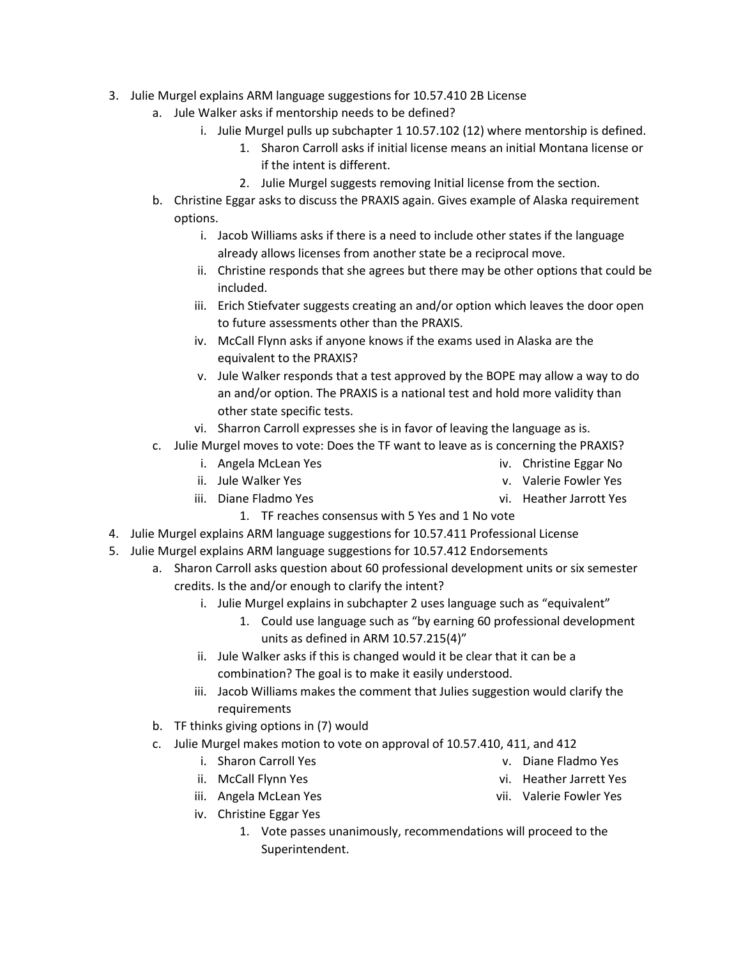- 3. Julie Murgel explains ARM language suggestions for 10.57.410 2B License
	- a. Jule Walker asks if mentorship needs to be defined?
		- i. Julie Murgel pulls up subchapter 1 10.57.102 (12) where mentorship is defined.
			- 1. Sharon Carroll asks if initial license means an initial Montana license or if the intent is different.
			- 2. Julie Murgel suggests removing Initial license from the section.
	- b. Christine Eggar asks to discuss the PRAXIS again. Gives example of Alaska requirement options.
		- i. Jacob Williams asks if there is a need to include other states if the language already allows licenses from another state be a reciprocal move.
		- ii. Christine responds that she agrees but there may be other options that could be included.
		- iii. Erich Stiefvater suggests creating an and/or option which leaves the door open to future assessments other than the PRAXIS.
		- iv. McCall Flynn asks if anyone knows if the exams used in Alaska are the equivalent to the PRAXIS?
		- v. Jule Walker responds that a test approved by the BOPE may allow a way to do an and/or option. The PRAXIS is a national test and hold more validity than other state specific tests.
		- vi. Sharron Carroll expresses she is in favor of leaving the language as is.
	- c. Julie Murgel moves to vote: Does the TF want to leave as is concerning the PRAXIS?
		- i. Angela McLean Yes

iv. Christine Eggar No

ii. Jule Walker Yes

v. Valerie Fowler Yes

- iii. Diane Fladmo Yes
	- 1. TF reaches consensus with 5 Yes and 1 No vote
- 4. Julie Murgel explains ARM language suggestions for 10.57.411 Professional License
- 5. Julie Murgel explains ARM language suggestions for 10.57.412 Endorsements
	- a. Sharon Carroll asks question about 60 professional development units or six semester credits. Is the and/or enough to clarify the intent?
		- i. Julie Murgel explains in subchapter 2 uses language such as "equivalent"
			- 1. Could use language such as "by earning 60 professional development units as defined in ARM 10.57.215(4)"
		- ii. Jule Walker asks if this is changed would it be clear that it can be a combination? The goal is to make it easily understood.
		- iii. Jacob Williams makes the comment that Julies suggestion would clarify the requirements
	- b. TF thinks giving options in (7) would
	- c. Julie Murgel makes motion to vote on approval of 10.57.410, 411, and 412
		- i. Sharon Carroll Yes
		- ii. McCall Flynn Yes
		- iii. Angela McLean Yes
		- iv. Christine Eggar Yes
			- 1. Vote passes unanimously, recommendations will proceed to the Superintendent.
- v. Diane Fladmo Yes
- vi. Heather Jarrett Yes
- vii. Valerie Fowler Yes
- vi. Heather Jarrott Yes
- 
- 
- -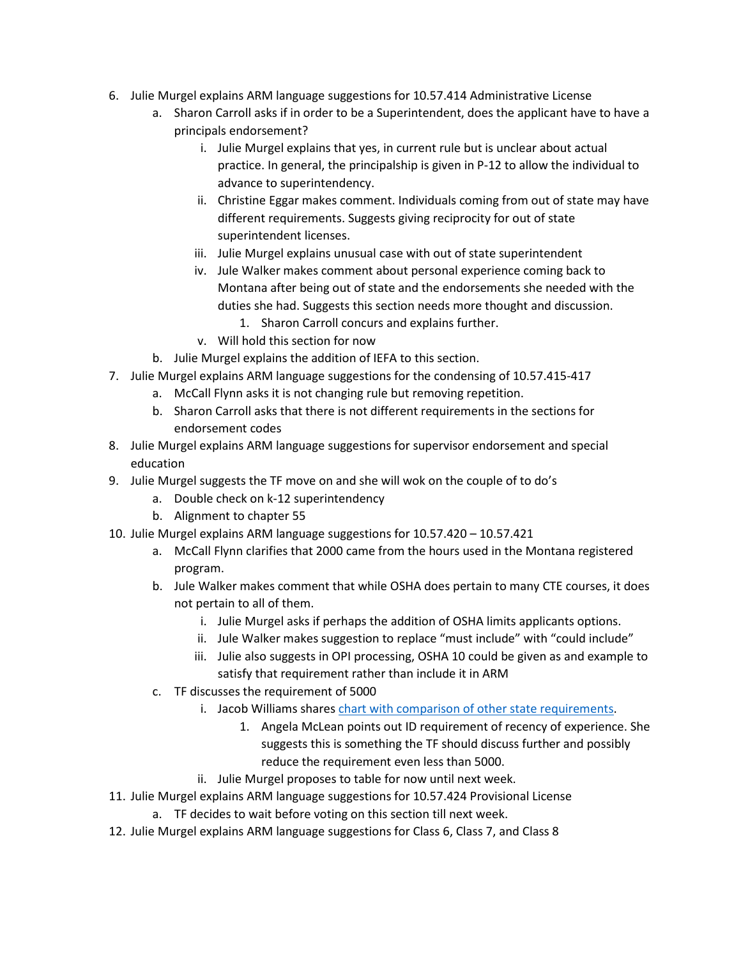- 6. Julie Murgel explains ARM language suggestions for 10.57.414 Administrative License
	- a. Sharon Carroll asks if in order to be a Superintendent, does the applicant have to have a principals endorsement?
		- i. Julie Murgel explains that yes, in current rule but is unclear about actual practice. In general, the principalship is given in P-12 to allow the individual to advance to superintendency.
		- ii. Christine Eggar makes comment. Individuals coming from out of state may have different requirements. Suggests giving reciprocity for out of state superintendent licenses.
		- iii. Julie Murgel explains unusual case with out of state superintendent
		- iv. Jule Walker makes comment about personal experience coming back to Montana after being out of state and the endorsements she needed with the duties she had. Suggests this section needs more thought and discussion.
			- 1. Sharon Carroll concurs and explains further.
		- v. Will hold this section for now
	- b. Julie Murgel explains the addition of IEFA to this section.
- 7. Julie Murgel explains ARM language suggestions for the condensing of 10.57.415-417
	- a. McCall Flynn asks it is not changing rule but removing repetition.
	- b. Sharon Carroll asks that there is not different requirements in the sections for endorsement codes
- 8. Julie Murgel explains ARM language suggestions for supervisor endorsement and special education
- 9. Julie Murgel suggests the TF move on and she will wok on the couple of to do's
	- a. Double check on k-12 superintendency
	- b. Alignment to chapter 55
- 10. Julie Murgel explains ARM language suggestions for 10.57.420 10.57.421
	- a. McCall Flynn clarifies that 2000 came from the hours used in the Montana registered program.
	- b. Jule Walker makes comment that while OSHA does pertain to many CTE courses, it does not pertain to all of them.
		- i. Julie Murgel asks if perhaps the addition of OSHA limits applicants options.
		- ii. Jule Walker makes suggestion to replace "must include" with "could include"
		- iii. Julie also suggests in OPI processing, OSHA 10 could be given as and example to satisfy that requirement rather than include it in ARM
	- c. TF discusses the requirement of 5000
		- i. Jacob Williams share[s chart with comparison of other state requirements.](https://docs.google.com/document/d/1YvNmbhQMVFsJ4ZzC6rLKTL-eQXfXntEa/edit?usp=sharing&ouid=103980653118195900680&rtpof=true&sd=true)
			- 1. Angela McLean points out ID requirement of recency of experience. She suggests this is something the TF should discuss further and possibly reduce the requirement even less than 5000.
		- ii. Julie Murgel proposes to table for now until next week.
- 11. Julie Murgel explains ARM language suggestions for 10.57.424 Provisional License
	- a. TF decides to wait before voting on this section till next week.
- 12. Julie Murgel explains ARM language suggestions for Class 6, Class 7, and Class 8